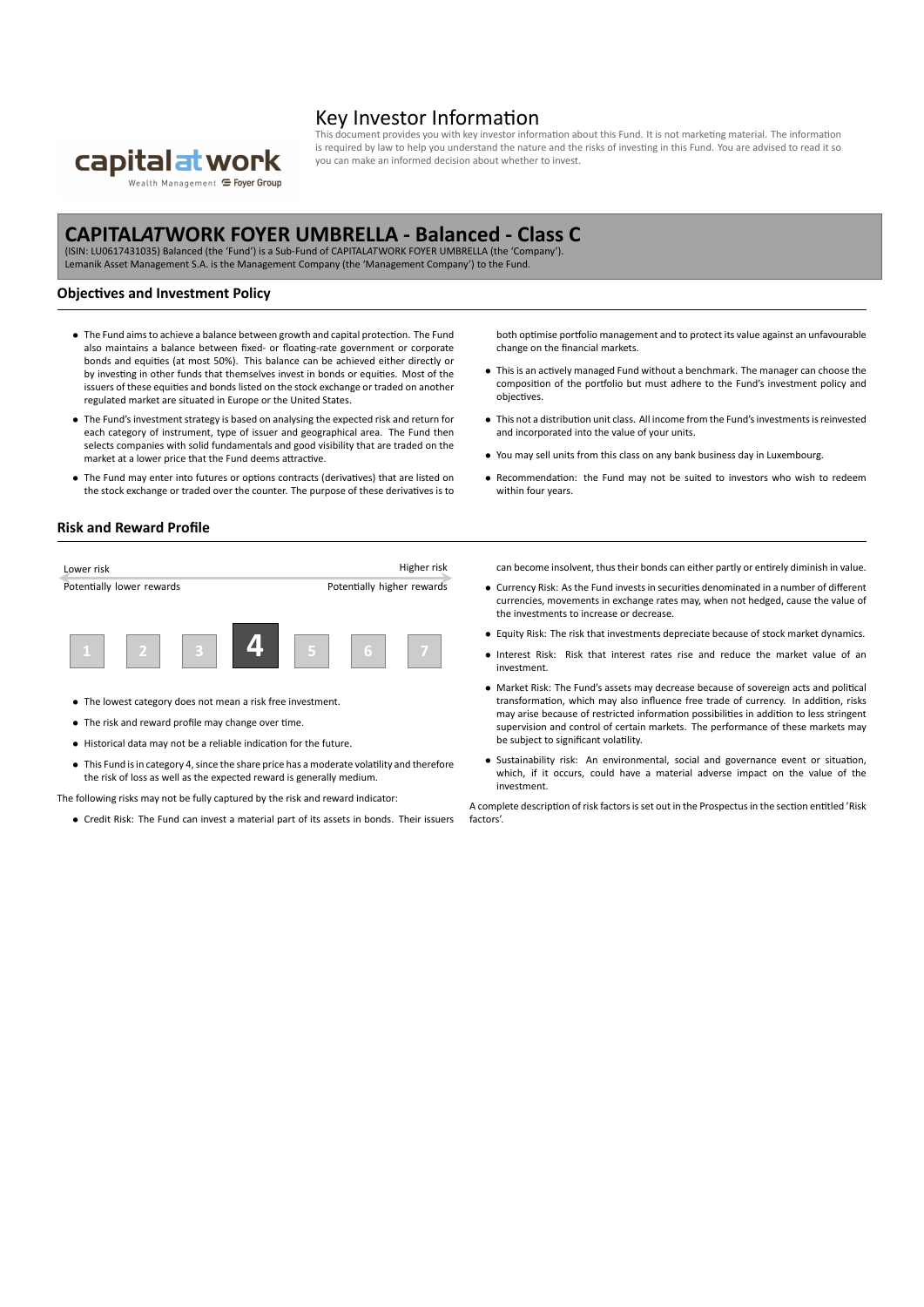

## Key Investor Information

cument provides you with key investor information about this Fund. It is not marketing material. The information is required by law to help you understand the nature and the risks of investing in this Fund. You are advised to read it so you can make an informed decision about whether to invest.

# **CAPITAL***AT***WORK FOYER UMBRELLA ‐ Balanced ‐ Class C**

(ISIN: LU0617431035) Balanced (the 'Fund') is a Sub‐Fund of CAPITAL*AT*WORK FOYER UMBRELLA (the 'Company'). Lemanik Asset Management S.A. is the Management Company (the 'Management Company') to the Fund.

#### **Objectives and Investment Policy**

- *•* The Fund aims to achieve a balance between growth and capital protection. The Fund also maintains a balance between fixed- or floating-rate government or corporate bonds and equities (at most 50%). This balance can be achieved either directly or by investing in other funds that themselves invest in bonds or equities. Most of the issuers of these equities and bonds listed on the stock exchange or traded on another regulated market are situated in Europe or the United States.
- *•* The Fund's investment strategy is based on analysing the expected risk and return for each category of instrument, type of issuer and geographical area. The Fund then selects companies with solid fundamentals and good visibility that are traded on the market at a lower price that the Fund deems attractive.
- *•* The Fund may enter into futures or options contracts (derivatives) that are listed on the stock exchange or traded over the counter. The purpose of these derivatives is to

both optimise portfolio management and to protect its value against an unfavourable change on the financial markets.

- *•* This is an actively managed Fund without a benchmark. The manager can choose the composition of the portfolio but must adhere to the Fund's investment policy and objectives.
- *•* This not a distribution unit class. All income from the Fund's investments is reinvested and incorporated into the value of your units.
- *•* You may sell units from this class on any bank business day in Luxembourg.
- *•* Recommendation: the Fund may not be suited to investors who wish to redeem within four years.

#### **Risk and Reward Profile**

| Lower risk                |  |  |  |                            |   | Higher risk |
|---------------------------|--|--|--|----------------------------|---|-------------|
| Potentially lower rewards |  |  |  | Potentially higher rewards |   |             |
|                           |  |  |  |                            |   |             |
|                           |  |  |  |                            | я |             |

- *•* The lowest category does not mean a risk free investment.
- *•* The risk and reward profile may change over time.
- *•* Historical data may not be a reliable indication for the future.
- *•* This Fund is in category 4, since the share price has a moderate volatility and therefore the risk of loss as well as the expected reward is generally medium.

The following risks may not be fully captured by the risk and reward indicator:

*•* Credit Risk: The Fund can invest a material part of its assets in bonds. Their issuers

can become insolvent, thus their bonds can either partly or entirely diminish in value.

- *•* Currency Risk: As the Fund invests in securities denominated in a number of different currencies, movements in exchange rates may, when not hedged, cause the value of the investments to increase or decrease.
- *•* Equity Risk: The risk that investments depreciate because of stock market dynamics.
- *•* Interest Risk: Risk that interest rates rise and reduce the market value of an investment.
- *•* Market Risk: The Fund's assets may decrease because of sovereign acts and political transformation, which may also influence free trade of currency. In addition, risks may arise because of restricted information possibilities in addition to less stringent supervision and control of certain markets. The performance of these markets may be subject to significant volatility.
- *•* Sustainability risk: An environmental, social and governance event or situation, which, if it occurs, could have a material adverse impact on the value of the investment.

A complete description of risk factors is set out in the Prospectus in the section entitled 'Risk factors'.